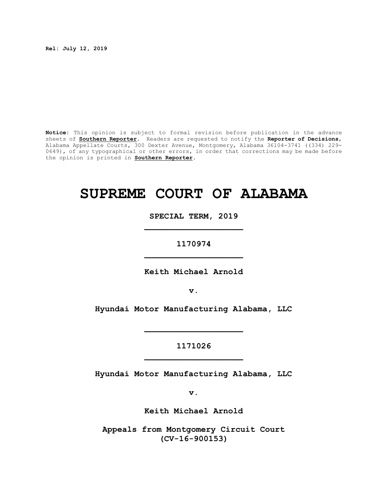**Rel: July 12, 2019** 

**Notice:** This opinion is subject to formal revision before publication in the advance sheets of **Southern Reporter**. Readers are requested to notify the **Reporter of Decisions**, Alabama Appellate Courts, 300 Dexter Avenue, Montgomery, Alabama 36104-3741 ((334) 229- 0649), of any typographical or other errors, in order that corrections may be made before the opinion is printed in **Southern Reporter**.

# **SUPREME COURT OF ALABAMA**

**SPECIAL TERM, 2019 \_\_\_\_\_\_\_\_\_\_\_\_\_\_\_\_\_\_\_\_**

**1170974 \_\_\_\_\_\_\_\_\_\_\_\_\_\_\_\_\_\_\_\_**

**Keith Michael Arnold**

**v.**

**Hyundai Motor Manufacturing Alabama, LLC**

**\_\_\_\_\_\_\_\_\_\_\_\_\_\_\_\_\_\_\_\_**

# **1171026 \_\_\_\_\_\_\_\_\_\_\_\_\_\_\_\_\_\_\_\_**

**Hyundai Motor Manufacturing Alabama, LLC**

**v.**

**Keith Michael Arnold**

**Appeals from Montgomery Circuit Court (CV-16-900153)**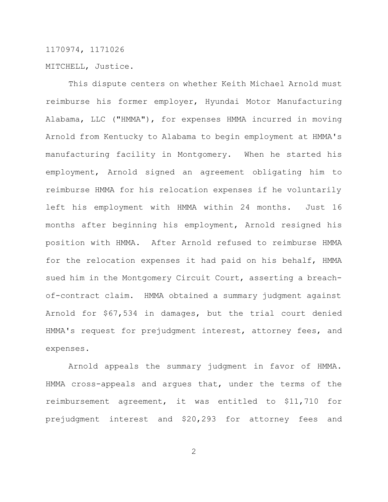MITCHELL, Justice.

This dispute centers on whether Keith Michael Arnold must reimburse his former employer, Hyundai Motor Manufacturing Alabama, LLC ("HMMA"), for expenses HMMA incurred in moving Arnold from Kentucky to Alabama to begin employment at HMMA's manufacturing facility in Montgomery. When he started his employment, Arnold signed an agreement obligating him to reimburse HMMA for his relocation expenses if he voluntarily left his employment with HMMA within 24 months. Just 16 months after beginning his employment, Arnold resigned his position with HMMA. After Arnold refused to reimburse HMMA for the relocation expenses it had paid on his behalf, HMMA sued him in the Montgomery Circuit Court, asserting a breachof-contract claim. HMMA obtained a summary judgment against Arnold for \$67,534 in damages, but the trial court denied HMMA's request for prejudgment interest, attorney fees, and expenses.

Arnold appeals the summary judgment in favor of HMMA. HMMA cross-appeals and argues that, under the terms of the reimbursement agreement, it was entitled to \$11,710 for prejudgment interest and \$20,293 for attorney fees and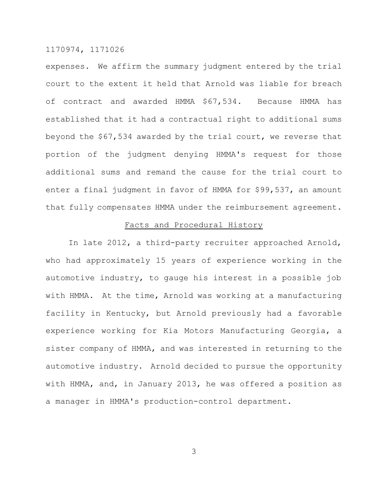expenses. We affirm the summary judgment entered by the trial court to the extent it held that Arnold was liable for breach of contract and awarded HMMA \$67,534. Because HMMA has established that it had a contractual right to additional sums beyond the \$67,534 awarded by the trial court, we reverse that portion of the judgment denying HMMA's request for those additional sums and remand the cause for the trial court to enter a final judgment in favor of HMMA for \$99,537, an amount that fully compensates HMMA under the reimbursement agreement.

#### Facts and Procedural History

In late 2012, a third-party recruiter approached Arnold, who had approximately 15 years of experience working in the automotive industry, to gauge his interest in a possible job with HMMA. At the time, Arnold was working at a manufacturing facility in Kentucky, but Arnold previously had a favorable experience working for Kia Motors Manufacturing Georgia, a sister company of HMMA, and was interested in returning to the automotive industry. Arnold decided to pursue the opportunity with HMMA, and, in January 2013, he was offered a position as a manager in HMMA's production-control department.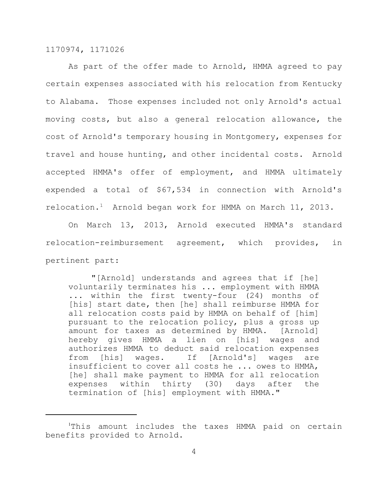As part of the offer made to Arnold, HMMA agreed to pay certain expenses associated with his relocation from Kentucky to Alabama. Those expenses included not only Arnold's actual moving costs, but also a general relocation allowance, the cost of Arnold's temporary housing in Montgomery, expenses for travel and house hunting, and other incidental costs. Arnold accepted HMMA's offer of employment, and HMMA ultimately expended a total of \$67,534 in connection with Arnold's relocation.<sup>1</sup> Arnold began work for HMMA on March 11, 2013.

On March 13, 2013, Arnold executed HMMA's standard relocation-reimbursement agreement, which provides, in pertinent part:

"[Arnold] understands and agrees that if [he] voluntarily terminates his ... employment with HMMA ... within the first twenty-four (24) months of [his] start date, then [he] shall reimburse HMMA for all relocation costs paid by HMMA on behalf of [him] pursuant to the relocation policy, plus a gross up amount for taxes as determined by HMMA. [Arnold] hereby gives HMMA a lien on [his] wages and authorizes HMMA to deduct said relocation expenses from [his] wages. If [Arnold's] wages are insufficient to cover all costs he ... owes to HMMA, [he] shall make payment to HMMA for all relocation expenses within thirty (30) days after the termination of [his] employment with HMMA."

<sup>1</sup>This amount includes the taxes HMMA paid on certain benefits provided to Arnold.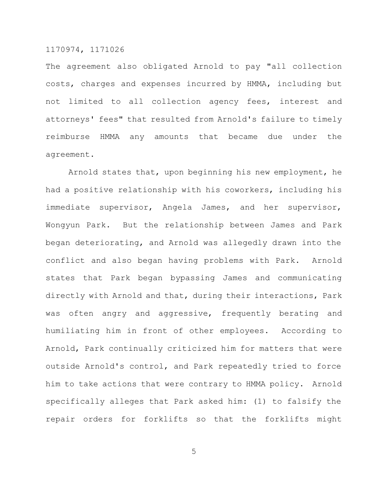The agreement also obligated Arnold to pay "all collection costs, charges and expenses incurred by HMMA, including but not limited to all collection agency fees, interest and attorneys' fees" that resulted from Arnold's failure to timely reimburse HMMA any amounts that became due under the agreement.

Arnold states that, upon beginning his new employment, he had a positive relationship with his coworkers, including his immediate supervisor, Angela James, and her supervisor, Wongyun Park. But the relationship between James and Park began deteriorating, and Arnold was allegedly drawn into the conflict and also began having problems with Park. Arnold states that Park began bypassing James and communicating directly with Arnold and that, during their interactions, Park was often angry and aggressive, frequently berating and humiliating him in front of other employees. According to Arnold, Park continually criticized him for matters that were outside Arnold's control, and Park repeatedly tried to force him to take actions that were contrary to HMMA policy. Arnold specifically alleges that Park asked him: (1) to falsify the repair orders for forklifts so that the forklifts might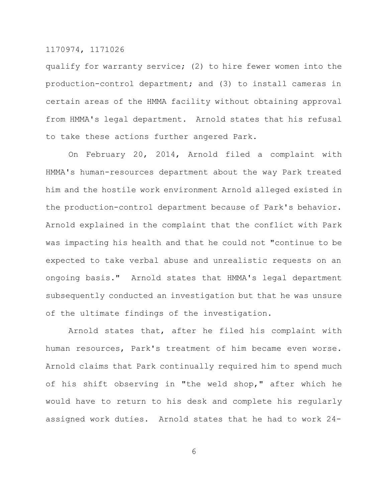qualify for warranty service; (2) to hire fewer women into the production-control department; and (3) to install cameras in certain areas of the HMMA facility without obtaining approval from HMMA's legal department. Arnold states that his refusal to take these actions further angered Park.

On February 20, 2014, Arnold filed a complaint with HMMA's human-resources department about the way Park treated him and the hostile work environment Arnold alleged existed in the production-control department because of Park's behavior. Arnold explained in the complaint that the conflict with Park was impacting his health and that he could not "continue to be expected to take verbal abuse and unrealistic requests on an ongoing basis." Arnold states that HMMA's legal department subsequently conducted an investigation but that he was unsure of the ultimate findings of the investigation.

Arnold states that, after he filed his complaint with human resources, Park's treatment of him became even worse. Arnold claims that Park continually required him to spend much of his shift observing in "the weld shop," after which he would have to return to his desk and complete his regularly assigned work duties. Arnold states that he had to work 24-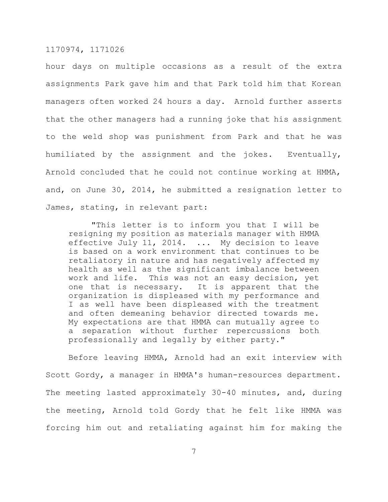hour days on multiple occasions as a result of the extra assignments Park gave him and that Park told him that Korean managers often worked 24 hours a day. Arnold further asserts that the other managers had a running joke that his assignment to the weld shop was punishment from Park and that he was humiliated by the assignment and the jokes. Eventually, Arnold concluded that he could not continue working at HMMA, and, on June 30, 2014, he submitted a resignation letter to James, stating, in relevant part:

"This letter is to inform you that I will be resigning my position as materials manager with HMMA effective July 11, 2014. ... My decision to leave is based on a work environment that continues to be retaliatory in nature and has negatively affected my health as well as the significant imbalance between work and life. This was not an easy decision, yet one that is necessary. It is apparent that the organization is displeased with my performance and I as well have been displeased with the treatment and often demeaning behavior directed towards me. My expectations are that HMMA can mutually agree to a separation without further repercussions both professionally and legally by either party."

Before leaving HMMA, Arnold had an exit interview with Scott Gordy, a manager in HMMA's human-resources department. The meeting lasted approximately 30-40 minutes, and, during the meeting, Arnold told Gordy that he felt like HMMA was forcing him out and retaliating against him for making the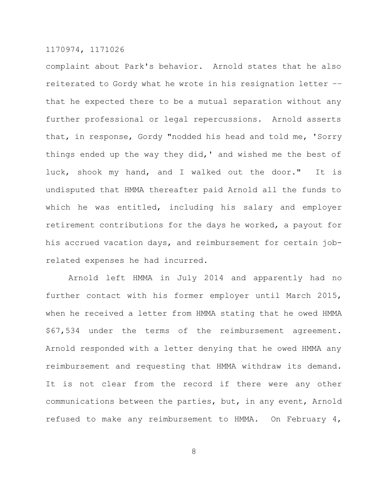complaint about Park's behavior. Arnold states that he also reiterated to Gordy what he wrote in his resignation letter –– that he expected there to be a mutual separation without any further professional or legal repercussions. Arnold asserts that, in response, Gordy "nodded his head and told me, 'Sorry things ended up the way they did,' and wished me the best of luck, shook my hand, and I walked out the door." It is undisputed that HMMA thereafter paid Arnold all the funds to which he was entitled, including his salary and employer retirement contributions for the days he worked, a payout for his accrued vacation days, and reimbursement for certain jobrelated expenses he had incurred.

Arnold left HMMA in July 2014 and apparently had no further contact with his former employer until March 2015, when he received a letter from HMMA stating that he owed HMMA \$67,534 under the terms of the reimbursement agreement. Arnold responded with a letter denying that he owed HMMA any reimbursement and requesting that HMMA withdraw its demand. It is not clear from the record if there were any other communications between the parties, but, in any event, Arnold refused to make any reimbursement to HMMA. On February 4,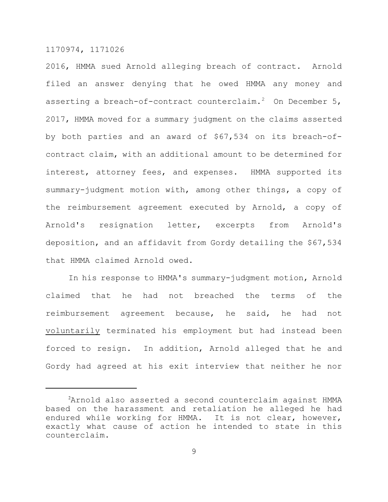2016, HMMA sued Arnold alleging breach of contract. Arnold filed an answer denying that he owed HMMA any money and asserting a breach-of-contract counterclaim.<sup>2</sup> On December 5, 2017, HMMA moved for a summary judgment on the claims asserted by both parties and an award of \$67,534 on its breach-ofcontract claim, with an additional amount to be determined for interest, attorney fees, and expenses. HMMA supported its summary-judgment motion with, among other things, a copy of the reimbursement agreement executed by Arnold, a copy of Arnold's resignation letter, excerpts from Arnold's deposition, and an affidavit from Gordy detailing the \$67,534 that HMMA claimed Arnold owed.

In his response to HMMA's summary-judgment motion, Arnold claimed that he had not breached the terms of the reimbursement agreement because, he said, he had not voluntarily terminated his employment but had instead been forced to resign. In addition, Arnold alleged that he and Gordy had agreed at his exit interview that neither he nor

<sup>2</sup>Arnold also asserted a second counterclaim against HMMA based on the harassment and retaliation he alleged he had endured while working for HMMA. It is not clear, however, exactly what cause of action he intended to state in this counterclaim.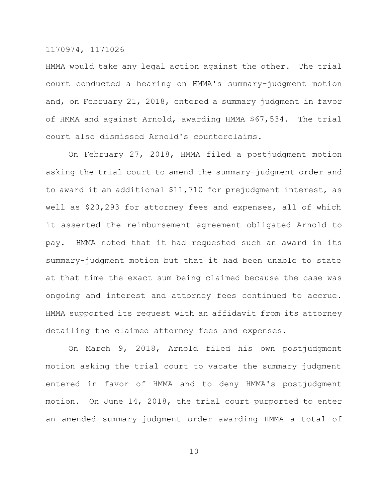HMMA would take any legal action against the other. The trial court conducted a hearing on HMMA's summary-judgment motion and, on February 21, 2018, entered a summary judgment in favor of HMMA and against Arnold, awarding HMMA \$67,534. The trial court also dismissed Arnold's counterclaims.

On February 27, 2018, HMMA filed a postjudgment motion asking the trial court to amend the summary-judgment order and to award it an additional \$11,710 for prejudgment interest, as well as \$20,293 for attorney fees and expenses, all of which it asserted the reimbursement agreement obligated Arnold to pay. HMMA noted that it had requested such an award in its summary-judgment motion but that it had been unable to state at that time the exact sum being claimed because the case was ongoing and interest and attorney fees continued to accrue. HMMA supported its request with an affidavit from its attorney detailing the claimed attorney fees and expenses.

On March 9, 2018, Arnold filed his own postjudgment motion asking the trial court to vacate the summary judgment entered in favor of HMMA and to deny HMMA's postjudgment motion. On June 14, 2018, the trial court purported to enter an amended summary-judgment order awarding HMMA a total of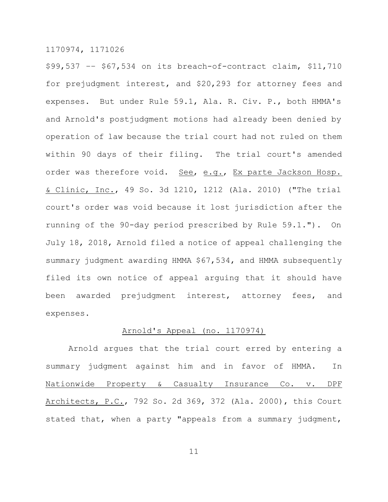\$99,537 –– \$67,534 on its breach-of-contract claim, \$11,710 for prejudgment interest, and \$20,293 for attorney fees and expenses. But under Rule 59.1, Ala. R. Civ. P., both HMMA's and Arnold's postjudgment motions had already been denied by operation of law because the trial court had not ruled on them within 90 days of their filing. The trial court's amended order was therefore void. See, e.g., Ex parte Jackson Hosp. & Clinic, Inc., 49 So. 3d 1210, 1212 (Ala. 2010) ("The trial court's order was void because it lost jurisdiction after the running of the 90-day period prescribed by Rule 59.1."). On July 18, 2018, Arnold filed a notice of appeal challenging the summary judgment awarding HMMA \$67,534, and HMMA subsequently filed its own notice of appeal arguing that it should have been awarded prejudgment interest, attorney fees, and expenses.

#### Arnold's Appeal (no. 1170974)

Arnold argues that the trial court erred by entering a summary judgment against him and in favor of HMMA. In Nationwide Property & Casualty Insurance Co. v. DPF Architects, P.C., 792 So. 2d 369, 372 (Ala. 2000), this Court stated that, when a party "appeals from a summary judgment,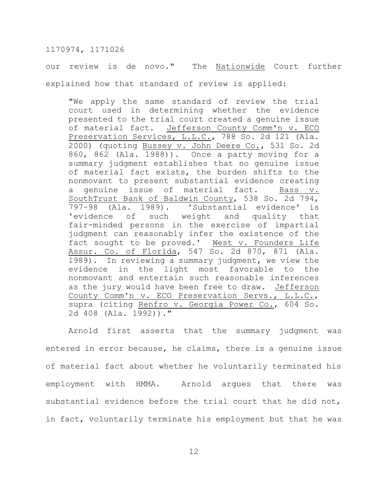our review is de novo." The Nationwide Court further explained how that standard of review is applied:

"We apply the same standard of review the trial court used in determining whether the evidence presented to the trial court created a genuine issue of material fact. Jefferson County Comm'n v. ECO Preservation Services, L.L.C., 788 So. 2d 121 (Ala. 2000) (quoting Bussey v. John Deere Co., 531 So. 2d 860, 862 (Ala. 1988)). Once a party moving for a summary judgment establishes that no genuine issue of material fact exists, the burden shifts to the nonmovant to present substantial evidence creating a genuine issue of material fact. Bass v. SouthTrust Bank of Baldwin County, 538 So. 2d 794, 797–98 (Ala. 1989). 'Substantial evidence' is 'evidence of such weight and quality that fair-minded persons in the exercise of impartial judgment can reasonably infer the existence of the fact sought to be proved.' West v. Founders Life Assur. Co. of Florida, 547 So. 2d 870, 871 (Ala. 1989). In reviewing a summary judgment, we view the evidence in the light most favorable to the nonmovant and entertain such reasonable inferences as the jury would have been free to draw. Jefferson County Comm'n v. ECO Preservation Servs., L.L.C., supra (citing Renfro v. Georgia Power Co., 604 So. 2d 408 (Ala. 1992))."

Arnold first asserts that the summary judgment was entered in error because, he claims, there is a genuine issue of material fact about whether he voluntarily terminated his employment with HMMA. Arnold argues that there was substantial evidence before the trial court that he did not, in fact, voluntarily terminate his employment but that he was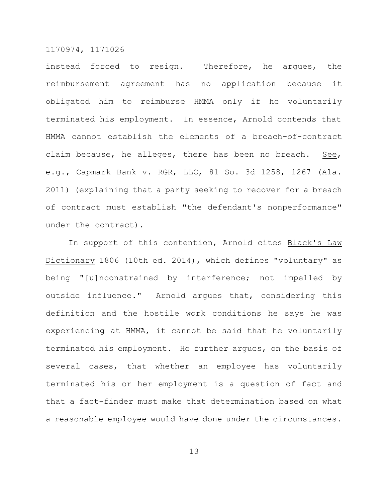instead forced to resign. Therefore, he argues, the reimbursement agreement has no application because it obligated him to reimburse HMMA only if he voluntarily terminated his employment. In essence, Arnold contends that HMMA cannot establish the elements of a breach-of-contract claim because, he alleges, there has been no breach. See, e.g., Capmark Bank v. RGR, LLC, 81 So. 3d 1258, 1267 (Ala. 2011) (explaining that a party seeking to recover for a breach of contract must establish "the defendant's nonperformance" under the contract).

In support of this contention, Arnold cites Black's Law Dictionary 1806 (10th ed. 2014), which defines "voluntary" as being "[u]nconstrained by interference; not impelled by outside influence." Arnold argues that, considering this definition and the hostile work conditions he says he was experiencing at HMMA, it cannot be said that he voluntarily terminated his employment. He further argues, on the basis of several cases, that whether an employee has voluntarily terminated his or her employment is a question of fact and that a fact-finder must make that determination based on what a reasonable employee would have done under the circumstances.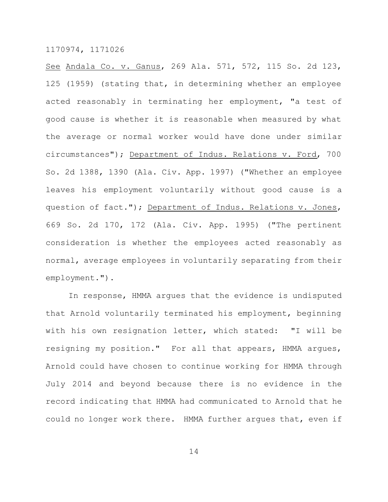See Andala Co. v. Ganus, 269 Ala. 571, 572, 115 So. 2d 123, 125 (1959) (stating that, in determining whether an employee acted reasonably in terminating her employment, "a test of good cause is whether it is reasonable when measured by what the average or normal worker would have done under similar circumstances"); Department of Indus. Relations v. Ford, 700 So. 2d 1388, 1390 (Ala. Civ. App. 1997) ("Whether an employee leaves his employment voluntarily without good cause is a question of fact."); Department of Indus. Relations v. Jones, 669 So. 2d 170, 172 (Ala. Civ. App. 1995) ("The pertinent consideration is whether the employees acted reasonably as normal, average employees in voluntarily separating from their employment.").

In response, HMMA argues that the evidence is undisputed that Arnold voluntarily terminated his employment, beginning with his own resignation letter, which stated: "I will be resigning my position." For all that appears, HMMA argues, Arnold could have chosen to continue working for HMMA through July 2014 and beyond because there is no evidence in the record indicating that HMMA had communicated to Arnold that he could no longer work there. HMMA further argues that, even if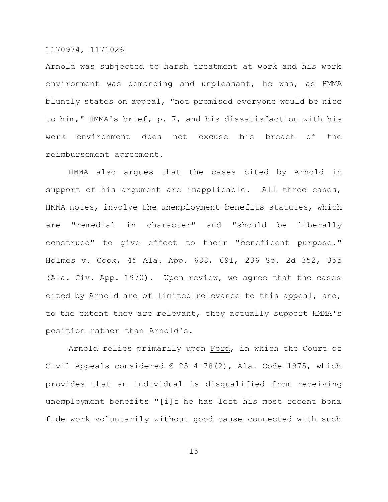Arnold was subjected to harsh treatment at work and his work environment was demanding and unpleasant, he was, as HMMA bluntly states on appeal, "not promised everyone would be nice to him," HMMA's brief, p. 7, and his dissatisfaction with his work environment does not excuse his breach of the reimbursement agreement.

HMMA also argues that the cases cited by Arnold in support of his argument are inapplicable. All three cases, HMMA notes, involve the unemployment-benefits statutes, which are "remedial in character" and "should be liberally construed" to give effect to their "beneficent purpose." Holmes v. Cook, 45 Ala. App. 688, 691, 236 So. 2d 352, 355 (Ala. Civ. App. 1970). Upon review, we agree that the cases cited by Arnold are of limited relevance to this appeal, and, to the extent they are relevant, they actually support HMMA's position rather than Arnold's.

Arnold relies primarily upon Ford, in which the Court of Civil Appeals considered § 25-4-78(2), Ala. Code 1975, which provides that an individual is disqualified from receiving unemployment benefits "[i]f he has left his most recent bona fide work voluntarily without good cause connected with such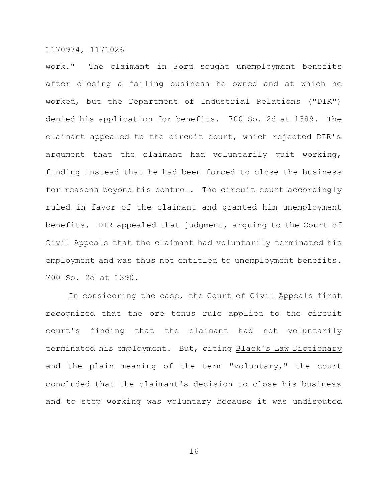work." The claimant in Ford sought unemployment benefits after closing a failing business he owned and at which he worked, but the Department of Industrial Relations ("DIR") denied his application for benefits. 700 So. 2d at 1389. The claimant appealed to the circuit court, which rejected DIR's argument that the claimant had voluntarily quit working, finding instead that he had been forced to close the business for reasons beyond his control. The circuit court accordingly ruled in favor of the claimant and granted him unemployment benefits. DIR appealed that judgment, arguing to the Court of Civil Appeals that the claimant had voluntarily terminated his employment and was thus not entitled to unemployment benefits. 700 So. 2d at 1390.

In considering the case, the Court of Civil Appeals first recognized that the ore tenus rule applied to the circuit court's finding that the claimant had not voluntarily terminated his employment. But, citing Black's Law Dictionary and the plain meaning of the term "voluntary," the court concluded that the claimant's decision to close his business and to stop working was voluntary because it was undisputed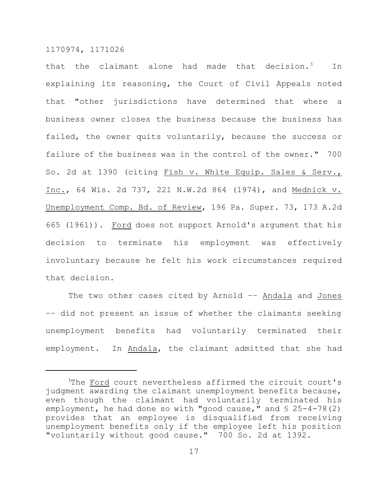that the claimant alone had made that decision.<sup>3</sup> In explaining its reasoning, the Court of Civil Appeals noted that "other jurisdictions have determined that where a business owner closes the business because the business has failed, the owner quits voluntarily, because the success or failure of the business was in the control of the owner." 700 So. 2d at 1390 (citing Fish v. White Equip. Sales & Serv., Inc., 64 Wis. 2d 737, 221 N.W.2d 864 (1974), and Mednick v. Unemployment Comp. Bd. of Review, 196 Pa. Super. 73, 173 A.2d 665 (1961)). Ford does not support Arnold's argument that his decision to terminate his employment was effectively involuntary because he felt his work circumstances required that decision.

The two other cases cited by Arnold -- Andala and Jones –– did not present an issue of whether the claimants seeking unemployment benefits had voluntarily terminated their employment. In Andala, the claimant admitted that she had

<sup>&</sup>lt;sup>3</sup>The Ford court nevertheless affirmed the circuit court's judgment awarding the claimant unemployment benefits because, even though the claimant had voluntarily terminated his employment, he had done so with "good cause," and  $\S$  25-4-78(2) provides that an employee is disqualified from receiving unemployment benefits only if the employee left his position "voluntarily without good cause." 700 So. 2d at 1392.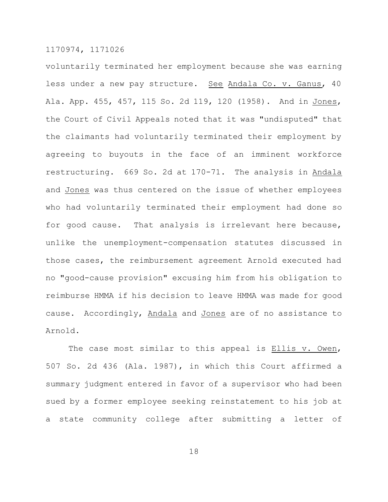voluntarily terminated her employment because she was earning less under a new pay structure. See Andala Co. v. Ganus, 40 Ala. App. 455, 457, 115 So. 2d 119, 120 (1958). And in Jones, the Court of Civil Appeals noted that it was "undisputed" that the claimants had voluntarily terminated their employment by agreeing to buyouts in the face of an imminent workforce restructuring. 669 So. 2d at 170-71. The analysis in Andala and Jones was thus centered on the issue of whether employees who had voluntarily terminated their employment had done so for good cause. That analysis is irrelevant here because, unlike the unemployment-compensation statutes discussed in those cases, the reimbursement agreement Arnold executed had no "good-cause provision" excusing him from his obligation to reimburse HMMA if his decision to leave HMMA was made for good cause. Accordingly, Andala and Jones are of no assistance to Arnold.

The case most similar to this appeal is Ellis v. Owen, 507 So. 2d 436 (Ala. 1987), in which this Court affirmed a summary judgment entered in favor of a supervisor who had been sued by a former employee seeking reinstatement to his job at a state community college after submitting a letter of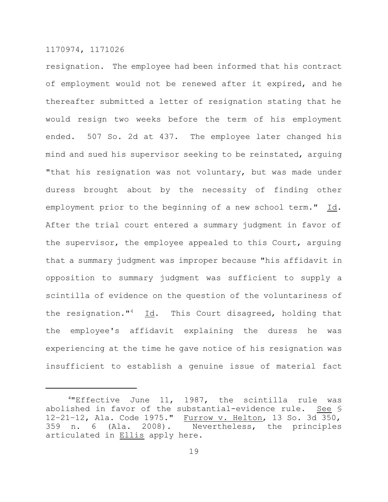resignation. The employee had been informed that his contract of employment would not be renewed after it expired, and he thereafter submitted a letter of resignation stating that he would resign two weeks before the term of his employment ended. 507 So. 2d at 437. The employee later changed his mind and sued his supervisor seeking to be reinstated, arguing "that his resignation was not voluntary, but was made under duress brought about by the necessity of finding other employment prior to the beginning of a new school term." Id. After the trial court entered a summary judgment in favor of the supervisor, the employee appealed to this Court, arguing that a summary judgment was improper because "his affidavit in opposition to summary judgment was sufficient to supply a scintilla of evidence on the question of the voluntariness of the resignation."<sup>4</sup> Id. This Court disagreed, holding that the employee's affidavit explaining the duress he was experiencing at the time he gave notice of his resignation was insufficient to establish a genuine issue of material fact

<sup>4</sup>"Effective June 11, 1987, the scintilla rule was abolished in favor of the substantial-evidence rule. See § 12-21-12, Ala. Code 1975." Furrow v. Helton, 13 So. 3d 350, 359 n. 6 (Ala. 2008). Nevertheless, the principles articulated in Ellis apply here.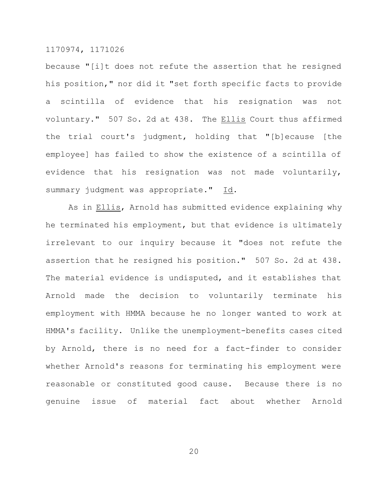because "[i]t does not refute the assertion that he resigned his position," nor did it "set forth specific facts to provide a scintilla of evidence that his resignation was not voluntary." 507 So. 2d at 438. The Ellis Court thus affirmed the trial court's judgment, holding that "[b]ecause [the employee] has failed to show the existence of a scintilla of evidence that his resignation was not made voluntarily, summary judgment was appropriate." Id.

As in Ellis, Arnold has submitted evidence explaining why he terminated his employment, but that evidence is ultimately irrelevant to our inquiry because it "does not refute the assertion that he resigned his position." 507 So. 2d at 438. The material evidence is undisputed, and it establishes that Arnold made the decision to voluntarily terminate his employment with HMMA because he no longer wanted to work at HMMA's facility. Unlike the unemployment-benefits cases cited by Arnold, there is no need for a fact-finder to consider whether Arnold's reasons for terminating his employment were reasonable or constituted good cause. Because there is no genuine issue of material fact about whether Arnold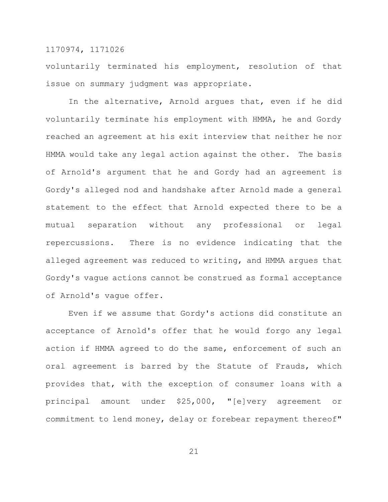voluntarily terminated his employment, resolution of that issue on summary judgment was appropriate.

In the alternative, Arnold argues that, even if he did voluntarily terminate his employment with HMMA, he and Gordy reached an agreement at his exit interview that neither he nor HMMA would take any legal action against the other. The basis of Arnold's argument that he and Gordy had an agreement is Gordy's alleged nod and handshake after Arnold made a general statement to the effect that Arnold expected there to be a mutual separation without any professional or legal repercussions. There is no evidence indicating that the alleged agreement was reduced to writing, and HMMA argues that Gordy's vague actions cannot be construed as formal acceptance of Arnold's vague offer.

Even if we assume that Gordy's actions did constitute an acceptance of Arnold's offer that he would forgo any legal action if HMMA agreed to do the same, enforcement of such an oral agreement is barred by the Statute of Frauds, which provides that, with the exception of consumer loans with a principal amount under \$25,000, "[e]very agreement or commitment to lend money, delay or forebear repayment thereof"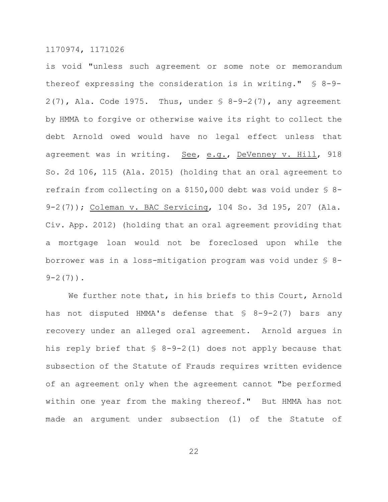is void "unless such agreement or some note or memorandum thereof expressing the consideration is in writing." § 8-9-  $2(7)$ , Ala. Code 1975. Thus, under  $\frac{1}{2}$  8-9-2(7), any agreement by HMMA to forgive or otherwise waive its right to collect the debt Arnold owed would have no legal effect unless that agreement was in writing. See, e.g., DeVenney v. Hill, 918 So. 2d 106, 115 (Ala. 2015) (holding that an oral agreement to refrain from collecting on a \$150,000 debt was void under § 8- 9-2(7)); Coleman v. BAC Servicing, 104 So. 3d 195, 207 (Ala. Civ. App. 2012) (holding that an oral agreement providing that a mortgage loan would not be foreclosed upon while the borrower was in a loss-mitigation program was void under § 8-  $9 - 2(7)$ .

We further note that, in his briefs to this Court, Arnold has not disputed HMMA's defense that § 8-9-2(7) bars any recovery under an alleged oral agreement. Arnold argues in his reply brief that  $$ 8-9-2(1)$  does not apply because that subsection of the Statute of Frauds requires written evidence of an agreement only when the agreement cannot "be performed within one year from the making thereof." But HMMA has not made an argument under subsection (1) of the Statute of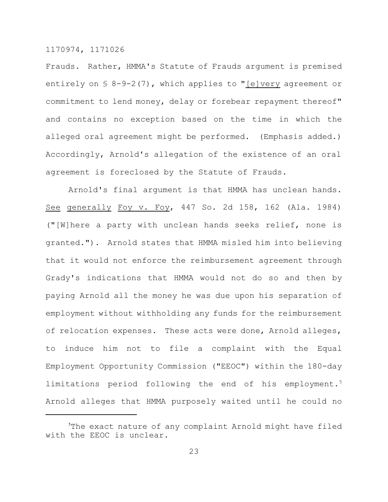Frauds. Rather, HMMA's Statute of Frauds argument is premised entirely on  $\S$  8-9-2(7), which applies to "[e]very agreement or commitment to lend money, delay or forebear repayment thereof" and contains no exception based on the time in which the alleged oral agreement might be performed. (Emphasis added.) Accordingly, Arnold's allegation of the existence of an oral agreement is foreclosed by the Statute of Frauds.

Arnold's final argument is that HMMA has unclean hands. See generally Foy v. Foy, 447 So. 2d 158, 162 (Ala. 1984) ("[W]here a party with unclean hands seeks relief, none is granted."). Arnold states that HMMA misled him into believing that it would not enforce the reimbursement agreement through Grady's indications that HMMA would not do so and then by paying Arnold all the money he was due upon his separation of employment without withholding any funds for the reimbursement of relocation expenses. These acts were done, Arnold alleges, to induce him not to file a complaint with the Equal Employment Opportunity Commission ("EEOC") within the 180-day limitations period following the end of his employment.<sup>5</sup> Arnold alleges that HMMA purposely waited until he could no

<sup>&</sup>lt;sup>5</sup>The exact nature of any complaint Arnold might have filed with the EEOC is unclear.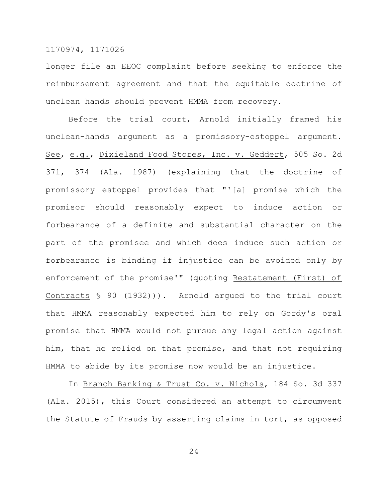longer file an EEOC complaint before seeking to enforce the reimbursement agreement and that the equitable doctrine of unclean hands should prevent HMMA from recovery.

Before the trial court, Arnold initially framed his unclean-hands argument as a promissory-estoppel argument. See, e.g., Dixieland Food Stores, Inc. v. Geddert, 505 So. 2d 371, 374 (Ala. 1987) (explaining that the doctrine of promissory estoppel provides that "'[a] promise which the promisor should reasonably expect to induce action or forbearance of a definite and substantial character on the part of the promisee and which does induce such action or forbearance is binding if injustice can be avoided only by enforcement of the promise'" (quoting Restatement (First) of Contracts § 90 (1932))). Arnold argued to the trial court that HMMA reasonably expected him to rely on Gordy's oral promise that HMMA would not pursue any legal action against him, that he relied on that promise, and that not requiring HMMA to abide by its promise now would be an injustice.

In Branch Banking & Trust Co. v. Nichols, 184 So. 3d 337 (Ala. 2015), this Court considered an attempt to circumvent the Statute of Frauds by asserting claims in tort, as opposed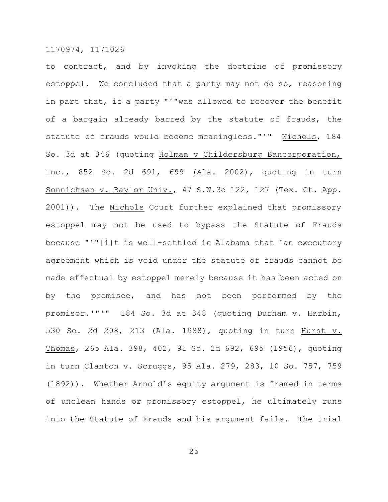to contract, and by invoking the doctrine of promissory estoppel. We concluded that a party may not do so, reasoning in part that, if a party "'"was allowed to recover the benefit of a bargain already barred by the statute of frauds, the statute of frauds would become meaningless."'" Nichols, 184 So. 3d at 346 (quoting Holman v Childersburg Bancorporation, Inc., 852 So. 2d 691, 699 (Ala. 2002), quoting in turn Sonnichsen v. Baylor Univ., 47 S.W.3d 122, 127 (Tex. Ct. App. 2001)). The Nichols Court further explained that promissory estoppel may not be used to bypass the Statute of Frauds because "'"[i]t is well-settled in Alabama that 'an executory agreement which is void under the statute of frauds cannot be made effectual by estoppel merely because it has been acted on by the promisee, and has not been performed by the promisor.'"'" 184 So. 3d at 348 (quoting Durham v. Harbin, 530 So. 2d 208, 213 (Ala. 1988), quoting in turn Hurst v. Thomas, 265 Ala. 398, 402, 91 So. 2d 692, 695 (1956), quoting in turn Clanton v. Scruggs, 95 Ala. 279, 283, 10 So. 757, 759 (1892)). Whether Arnold's equity argument is framed in terms of unclean hands or promissory estoppel, he ultimately runs into the Statute of Frauds and his argument fails. The trial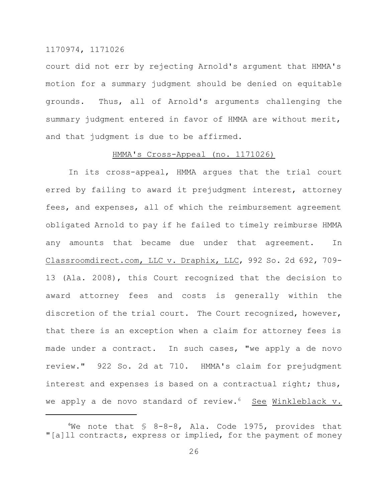court did not err by rejecting Arnold's argument that HMMA's motion for a summary judgment should be denied on equitable grounds. Thus, all of Arnold's arguments challenging the summary judgment entered in favor of HMMA are without merit, and that judgment is due to be affirmed.

#### HMMA's Cross-Appeal (no. 1171026)

In its cross-appeal, HMMA argues that the trial court erred by failing to award it prejudgment interest, attorney fees, and expenses, all of which the reimbursement agreement obligated Arnold to pay if he failed to timely reimburse HMMA any amounts that became due under that agreement. In Classroomdirect.com, LLC v. Draphix, LLC, 992 So. 2d 692, 709- 13 (Ala. 2008), this Court recognized that the decision to award attorney fees and costs is generally within the discretion of the trial court. The Court recognized, however, that there is an exception when a claim for attorney fees is made under a contract. In such cases, "we apply a de novo review." 922 So. 2d at 710. HMMA's claim for prejudgment interest and expenses is based on a contractual right; thus, we apply a de novo standard of review. $6$  See Winkleblack v.

We note that  $\frac{1}{5}$  8-8-8, Ala. Code 1975, provides that "[a]ll contracts, express or implied, for the payment of money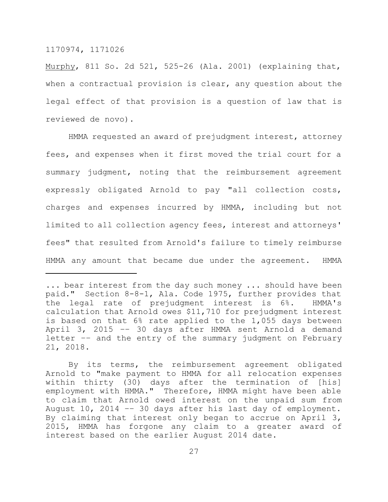Murphy, 811 So. 2d 521, 525-26 (Ala. 2001) (explaining that, when a contractual provision is clear, any question about the legal effect of that provision is a question of law that is reviewed de novo).

HMMA requested an award of prejudgment interest, attorney fees, and expenses when it first moved the trial court for a summary judgment, noting that the reimbursement agreement expressly obligated Arnold to pay "all collection costs, charges and expenses incurred by HMMA, including but not limited to all collection agency fees, interest and attorneys' fees" that resulted from Arnold's failure to timely reimburse HMMA any amount that became due under the agreement. HMMA

<sup>...</sup> bear interest from the day such money ... should have been paid." Section 8-8-1, Ala. Code 1975, further provides that the legal rate of prejudgment interest is 6%. HMMA's calculation that Arnold owes \$11,710 for prejudgment interest is based on that 6% rate applied to the 1,055 days between April 3, 2015 –– 30 days after HMMA sent Arnold a demand letter –– and the entry of the summary judgment on February 21, 2018.

By its terms, the reimbursement agreement obligated Arnold to "make payment to HMMA for all relocation expenses within thirty (30) days after the termination of [his] employment with HMMA." Therefore, HMMA might have been able to claim that Arnold owed interest on the unpaid sum from August 10, 2014 –– 30 days after his last day of employment. By claiming that interest only began to accrue on April 3, 2015, HMMA has forgone any claim to a greater award of interest based on the earlier August 2014 date.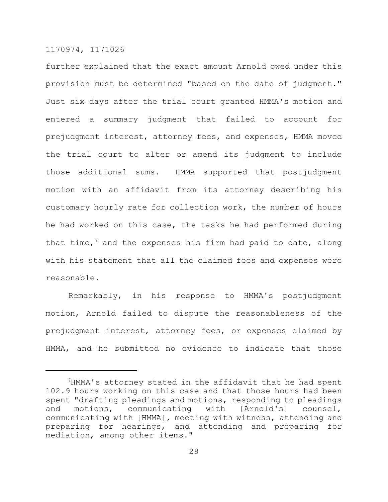further explained that the exact amount Arnold owed under this provision must be determined "based on the date of judgment." Just six days after the trial court granted HMMA's motion and entered a summary judgment that failed to account for prejudgment interest, attorney fees, and expenses, HMMA moved the trial court to alter or amend its judgment to include those additional sums. HMMA supported that postjudgment motion with an affidavit from its attorney describing his customary hourly rate for collection work, the number of hours he had worked on this case, the tasks he had performed during that time,<sup>7</sup> and the expenses his firm had paid to date, along with his statement that all the claimed fees and expenses were reasonable.

Remarkably, in his response to HMMA's postjudgment motion, Arnold failed to dispute the reasonableness of the prejudgment interest, attorney fees, or expenses claimed by HMMA, and he submitted no evidence to indicate that those

<sup>7</sup>HMMA's attorney stated in the affidavit that he had spent 102.9 hours working on this case and that those hours had been spent "drafting pleadings and motions, responding to pleadings and motions, communicating with [Arnold's] counsel, communicating with [HMMA], meeting with witness, attending and preparing for hearings, and attending and preparing for mediation, among other items."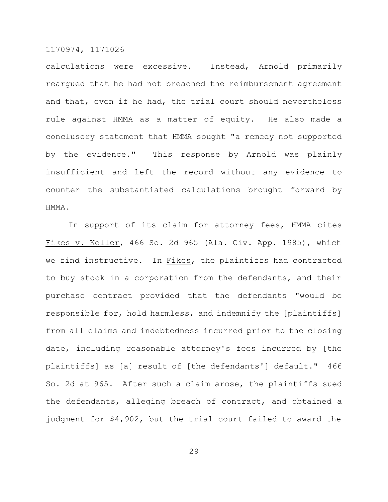calculations were excessive. Instead, Arnold primarily reargued that he had not breached the reimbursement agreement and that, even if he had, the trial court should nevertheless rule against HMMA as a matter of equity. He also made a conclusory statement that HMMA sought "a remedy not supported by the evidence." This response by Arnold was plainly insufficient and left the record without any evidence to counter the substantiated calculations brought forward by HMMA.

In support of its claim for attorney fees, HMMA cites Fikes v. Keller, 466 So. 2d 965 (Ala. Civ. App. 1985), which we find instructive. In Fikes, the plaintiffs had contracted to buy stock in a corporation from the defendants, and their purchase contract provided that the defendants "would be responsible for, hold harmless, and indemnify the [plaintiffs] from all claims and indebtedness incurred prior to the closing date, including reasonable attorney's fees incurred by [the plaintiffs] as [a] result of [the defendants'] default." 466 So. 2d at 965. After such a claim arose, the plaintiffs sued the defendants, alleging breach of contract, and obtained a judgment for \$4,902, but the trial court failed to award the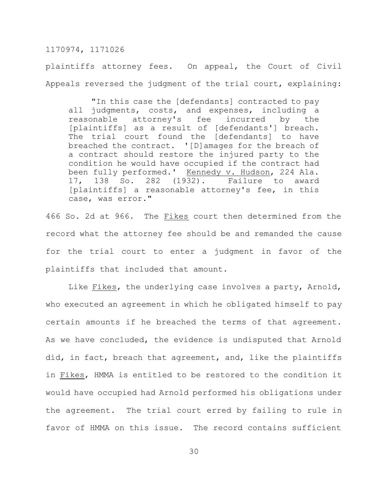plaintiffs attorney fees. On appeal, the Court of Civil Appeals reversed the judgment of the trial court, explaining:

"In this case the [defendants] contracted to pay all judgments, costs, and expenses, including a reasonable attorney's fee incurred by the [plaintiffs] as a result of [defendants'] breach. The trial court found the [defendants] to have breached the contract. '[D]amages for the breach of a contract should restore the injured party to the condition he would have occupied if the contract had been fully performed.' Kennedy v. Hudson, 224 Ala. 17, 138 So. 282 (1932). Failure to award [plaintiffs] a reasonable attorney's fee, in this case, was error."

466 So. 2d at 966. The Fikes court then determined from the record what the attorney fee should be and remanded the cause for the trial court to enter a judgment in favor of the plaintiffs that included that amount.

Like Fikes, the underlying case involves a party, Arnold, who executed an agreement in which he obligated himself to pay certain amounts if he breached the terms of that agreement. As we have concluded, the evidence is undisputed that Arnold did, in fact, breach that agreement, and, like the plaintiffs in Fikes, HMMA is entitled to be restored to the condition it would have occupied had Arnold performed his obligations under the agreement. The trial court erred by failing to rule in favor of HMMA on this issue. The record contains sufficient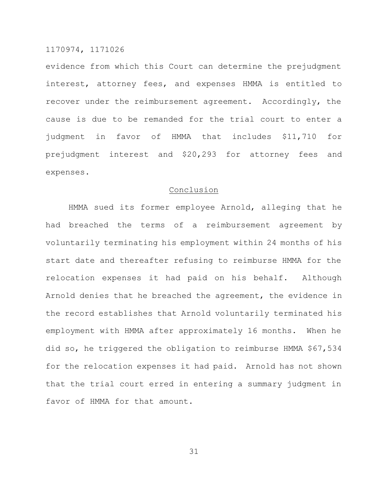evidence from which this Court can determine the prejudgment interest, attorney fees, and expenses HMMA is entitled to recover under the reimbursement agreement. Accordingly, the cause is due to be remanded for the trial court to enter a judgment in favor of HMMA that includes \$11,710 for prejudgment interest and \$20,293 for attorney fees and expenses.

#### Conclusion

HMMA sued its former employee Arnold, alleging that he had breached the terms of a reimbursement agreement by voluntarily terminating his employment within 24 months of his start date and thereafter refusing to reimburse HMMA for the relocation expenses it had paid on his behalf. Although Arnold denies that he breached the agreement, the evidence in the record establishes that Arnold voluntarily terminated his employment with HMMA after approximately 16 months. When he did so, he triggered the obligation to reimburse HMMA \$67,534 for the relocation expenses it had paid. Arnold has not shown that the trial court erred in entering a summary judgment in favor of HMMA for that amount.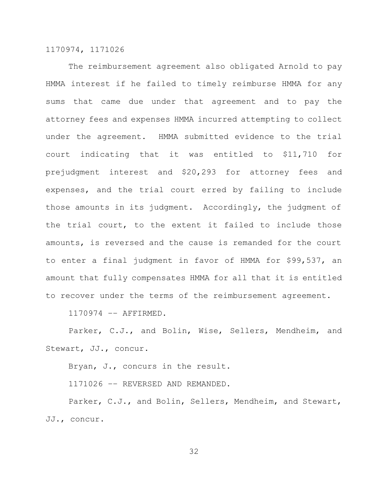The reimbursement agreement also obligated Arnold to pay HMMA interest if he failed to timely reimburse HMMA for any sums that came due under that agreement and to pay the attorney fees and expenses HMMA incurred attempting to collect under the agreement. HMMA submitted evidence to the trial court indicating that it was entitled to \$11,710 for prejudgment interest and \$20,293 for attorney fees and expenses, and the trial court erred by failing to include those amounts in its judgment. Accordingly, the judgment of the trial court, to the extent it failed to include those amounts, is reversed and the cause is remanded for the court to enter a final judgment in favor of HMMA for \$99,537, an amount that fully compensates HMMA for all that it is entitled to recover under the terms of the reimbursement agreement.

1170974 –– AFFIRMED.

Parker, C.J., and Bolin, Wise, Sellers, Mendheim, and Stewart, JJ., concur.

Bryan, J., concurs in the result.

1171026 –– REVERSED AND REMANDED.

Parker, C.J., and Bolin, Sellers, Mendheim, and Stewart, JJ., concur.